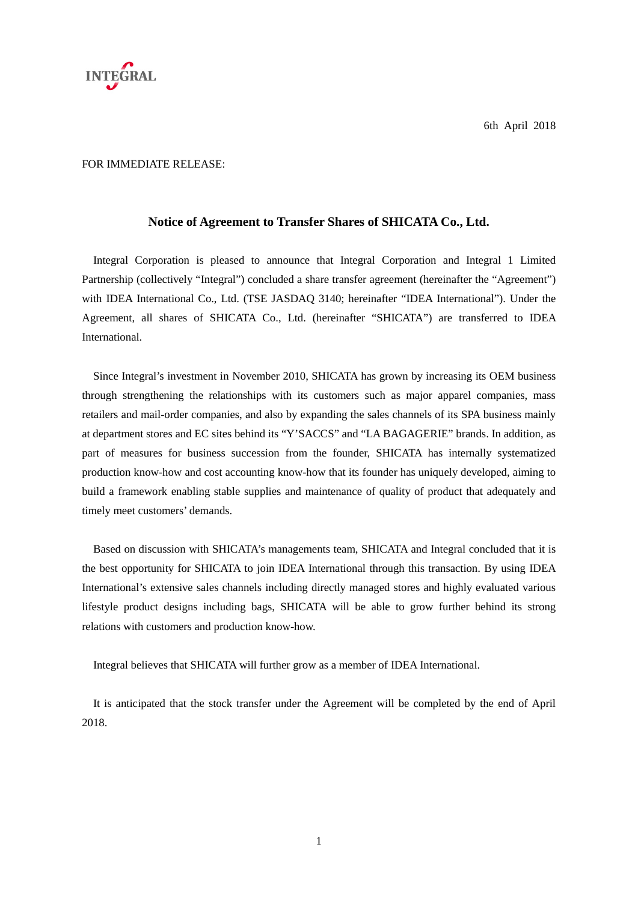

## FOR IMMEDIATE RELEASE:

## **Notice of Agreement to Transfer Shares of SHICATA Co., Ltd.**

Integral Corporation is pleased to announce that Integral Corporation and Integral 1 Limited Partnership (collectively "Integral") concluded a share transfer agreement (hereinafter the "Agreement") with IDEA International Co., Ltd. (TSE JASDAQ 3140; hereinafter "IDEA International"). Under the Agreement, all shares of SHICATA Co., Ltd. (hereinafter "SHICATA") are transferred to IDEA **International** 

Since Integral's investment in November 2010, SHICATA has grown by increasing its OEM business through strengthening the relationships with its customers such as major apparel companies, mass retailers and mail-order companies, and also by expanding the sales channels of its SPA business mainly at department stores and EC sites behind its "Y'SACCS" and "LA BAGAGERIE" brands. In addition, as part of measures for business succession from the founder, SHICATA has internally systematized production know-how and cost accounting know-how that its founder has uniquely developed, aiming to build a framework enabling stable supplies and maintenance of quality of product that adequately and timely meet customers' demands.

Based on discussion with SHICATA's managements team, SHICATA and Integral concluded that it is the best opportunity for SHICATA to join IDEA International through this transaction. By using IDEA International's extensive sales channels including directly managed stores and highly evaluated various lifestyle product designs including bags, SHICATA will be able to grow further behind its strong relations with customers and production know-how.

Integral believes that SHICATA will further grow as a member of IDEA International.

It is anticipated that the stock transfer under the Agreement will be completed by the end of April 2018.